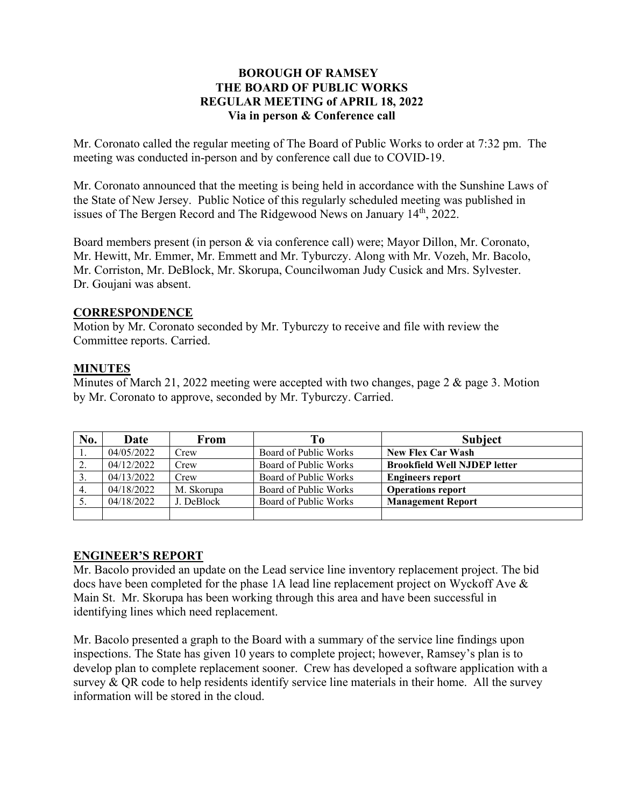## **BOROUGH OF RAMSEY THE BOARD OF PUBLIC WORKS REGULAR MEETING of APRIL 18, 2022 Via in person & Conference call**

Mr. Coronato called the regular meeting of The Board of Public Works to order at 7:32 pm. The meeting was conducted in-person and by conference call due to COVID-19.

Mr. Coronato announced that the meeting is being held in accordance with the Sunshine Laws of the State of New Jersey. Public Notice of this regularly scheduled meeting was published in issues of The Bergen Record and The Ridgewood News on January 14<sup>th</sup>, 2022.

Board members present (in person & via conference call) were; Mayor Dillon, Mr. Coronato, Mr. Hewitt, Mr. Emmer, Mr. Emmett and Mr. Tyburczy. Along with Mr. Vozeh, Mr. Bacolo, Mr. Corriston, Mr. DeBlock, Mr. Skorupa, Councilwoman Judy Cusick and Mrs. Sylvester. Dr. Goujani was absent.

#### **CORRESPONDENCE**

Motion by Mr. Coronato seconded by Mr. Tyburczy to receive and file with review the Committee reports. Carried.

## **MINUTES**

Minutes of March 21, 2022 meeting were accepted with two changes, page 2 & page 3. Motion by Mr. Coronato to approve, seconded by Mr. Tyburczy. Carried.

| No. | Date       | From       | Tо                    | <b>Subject</b>                      |
|-----|------------|------------|-----------------------|-------------------------------------|
|     | 04/05/2022 | Crew       | Board of Public Works | <b>New Flex Car Wash</b>            |
|     | 04/12/2022 | Crew       | Board of Public Works | <b>Brookfield Well NJDEP letter</b> |
| 3.  | 04/13/2022 | Crew       | Board of Public Works | <b>Engineers report</b>             |
|     | 04/18/2022 | M. Skorupa | Board of Public Works | <b>Operations report</b>            |
|     | 04/18/2022 | J. DeBlock | Board of Public Works | <b>Management Report</b>            |
|     |            |            |                       |                                     |

#### **ENGINEER'S REPORT**

Mr. Bacolo provided an update on the Lead service line inventory replacement project. The bid docs have been completed for the phase 1A lead line replacement project on Wyckoff Ave & Main St. Mr. Skorupa has been working through this area and have been successful in identifying lines which need replacement.

Mr. Bacolo presented a graph to the Board with a summary of the service line findings upon inspections. The State has given 10 years to complete project; however, Ramsey's plan is to develop plan to complete replacement sooner. Crew has developed a software application with a survey  $&$  QR code to help residents identify service line materials in their home. All the survey information will be stored in the cloud.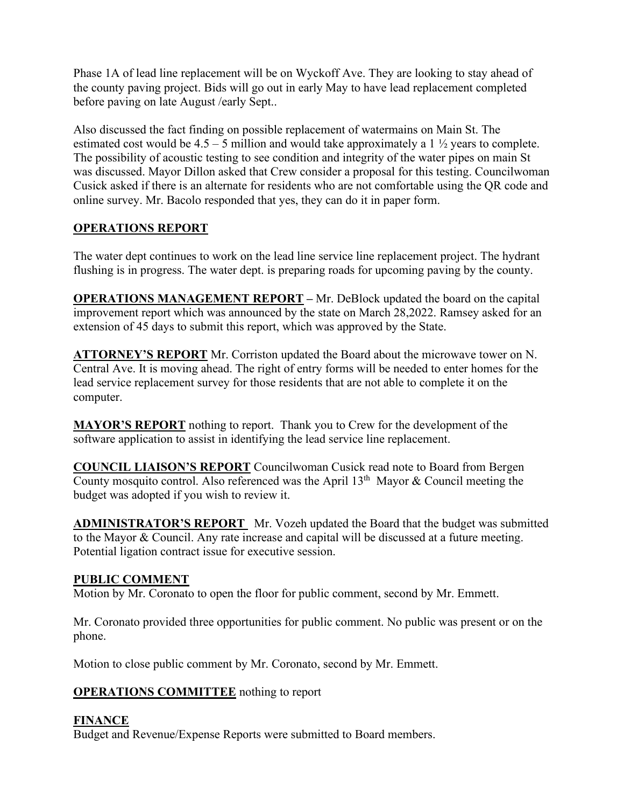Phase 1A of lead line replacement will be on Wyckoff Ave. They are looking to stay ahead of the county paving project. Bids will go out in early May to have lead replacement completed before paving on late August /early Sept..

Also discussed the fact finding on possible replacement of watermains on Main St. The estimated cost would be  $4.5 - 5$  million and would take approximately a 1  $\frac{1}{2}$  years to complete. The possibility of acoustic testing to see condition and integrity of the water pipes on main St was discussed. Mayor Dillon asked that Crew consider a proposal for this testing. Councilwoman Cusick asked if there is an alternate for residents who are not comfortable using the QR code and online survey. Mr. Bacolo responded that yes, they can do it in paper form.

# **OPERATIONS REPORT**

The water dept continues to work on the lead line service line replacement project. The hydrant flushing is in progress. The water dept. is preparing roads for upcoming paving by the county.

**OPERATIONS MANAGEMENT REPORT –** Mr. DeBlock updated the board on the capital improvement report which was announced by the state on March 28,2022. Ramsey asked for an extension of 45 days to submit this report, which was approved by the State.

**ATTORNEY'S REPORT** Mr. Corriston updated the Board about the microwave tower on N. Central Ave. It is moving ahead. The right of entry forms will be needed to enter homes for the lead service replacement survey for those residents that are not able to complete it on the computer.

**MAYOR'S REPORT** nothing to report. Thank you to Crew for the development of the software application to assist in identifying the lead service line replacement.

**COUNCIL LIAISON'S REPORT** Councilwoman Cusick read note to Board from Bergen County mosquito control. Also referenced was the April  $13<sup>th</sup>$  Mayor & Council meeting the budget was adopted if you wish to review it.

**ADMINISTRATOR'S REPORT** Mr. Vozeh updated the Board that the budget was submitted to the Mayor & Council. Any rate increase and capital will be discussed at a future meeting. Potential ligation contract issue for executive session.

# **PUBLIC COMMENT**

Motion by Mr. Coronato to open the floor for public comment, second by Mr. Emmett.

Mr. Coronato provided three opportunities for public comment. No public was present or on the phone.

Motion to close public comment by Mr. Coronato, second by Mr. Emmett.

# **OPERATIONS COMMITTEE** nothing to report

# **FINANCE**

Budget and Revenue/Expense Reports were submitted to Board members.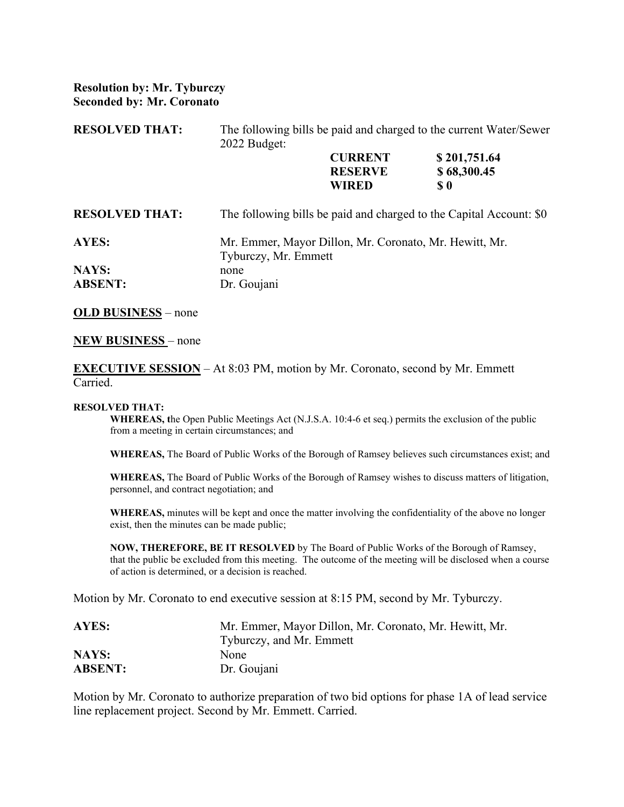## **Resolution by: Mr. Tyburczy Seconded by: Mr. Coronato**

| <b>RESOLVED THAT:</b>   | The following bills be paid and charged to the current Water/Sewer<br>2022 Budget: |                                                  |                                                                                 |  |
|-------------------------|------------------------------------------------------------------------------------|--------------------------------------------------|---------------------------------------------------------------------------------|--|
|                         |                                                                                    | <b>CURRENT</b><br><b>RESERVE</b><br><b>WIRED</b> | \$201,751.64<br>\$68,300.45<br>$\boldsymbol{\mathsf{s}}\boldsymbol{\mathsf{0}}$ |  |
| <b>RESOLVED THAT:</b>   | The following bills be paid and charged to the Capital Account: \$0                |                                                  |                                                                                 |  |
| <b>AYES:</b>            | Mr. Emmer, Mayor Dillon, Mr. Coronato, Mr. Hewitt, Mr.<br>Tyburczy, Mr. Emmett     |                                                  |                                                                                 |  |
| NAYS:<br><b>ABSENT:</b> | none<br>Dr. Goujani                                                                |                                                  |                                                                                 |  |

**OLD BUSINESS** – none

#### **NEW BUSINESS** – none

**EXECUTIVE SESSION** – At 8:03 PM, motion by Mr. Coronato, second by Mr. Emmett Carried.

#### **RESOLVED THAT:**

**WHEREAS, t**he Open Public Meetings Act (N.J.S.A. 10:4-6 et seq.) permits the exclusion of the public from a meeting in certain circumstances; and

**WHEREAS,** The Board of Public Works of the Borough of Ramsey believes such circumstances exist; and

**WHEREAS,** The Board of Public Works of the Borough of Ramsey wishes to discuss matters of litigation, personnel, and contract negotiation; and

**WHEREAS,** minutes will be kept and once the matter involving the confidentiality of the above no longer exist, then the minutes can be made public;

**NOW, THEREFORE, BE IT RESOLVED** by The Board of Public Works of the Borough of Ramsey, that the public be excluded from this meeting. The outcome of the meeting will be disclosed when a course of action is determined, or a decision is reached.

Motion by Mr. Coronato to end executive session at 8:15 PM, second by Mr. Tyburczy.

| AYES:          | Mr. Emmer, Mayor Dillon, Mr. Coronato, Mr. Hewitt, Mr. |
|----------------|--------------------------------------------------------|
|                | Tyburczy, and Mr. Emmett                               |
| NAYS:          | None                                                   |
| <b>ABSENT:</b> | Dr. Goujani                                            |

Motion by Mr. Coronato to authorize preparation of two bid options for phase 1A of lead service line replacement project. Second by Mr. Emmett. Carried.